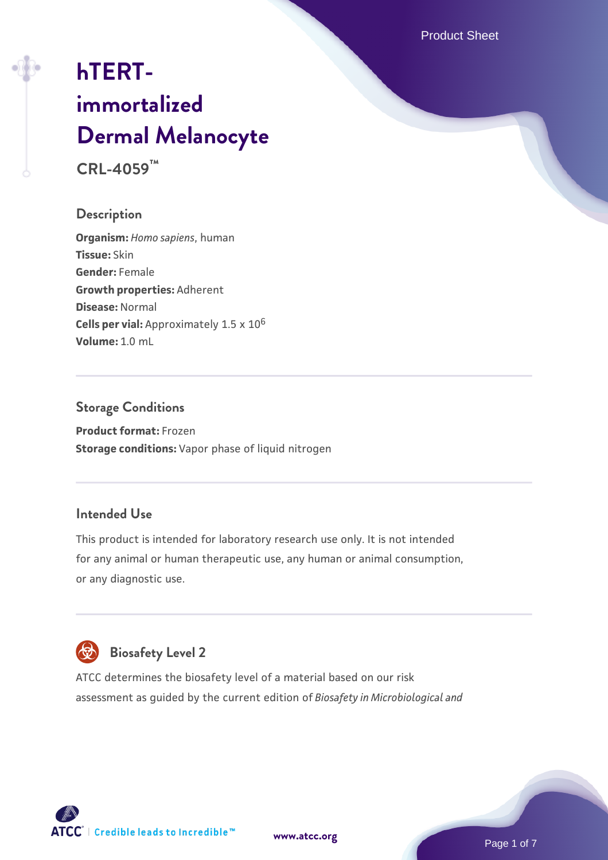Product Sheet

# **[hTERT](https://www.atcc.org/products/crl-4059)[immortalized](https://www.atcc.org/products/crl-4059) [Dermal Melanocyte](https://www.atcc.org/products/crl-4059) CRL-4059™**

# **Description**

**Organism:** *Homo sapiens*, human **Tissue:** Skin **Gender:** Female **Growth properties:** Adherent **Disease:** Normal **Cells per vial:** Approximately 1.5 x 10<sup>6</sup> **Volume:** 1.0 mL

# **Storage Conditions**

**Product format:** Frozen **Storage conditions:** Vapor phase of liquid nitrogen

# **Intended Use**

This product is intended for laboratory research use only. It is not intended for any animal or human therapeutic use, any human or animal consumption, or any diagnostic use.



# **Biosafety Level 2**

ATCC determines the biosafety level of a material based on our risk assessment as guided by the current edition of *Biosafety in Microbiological and*

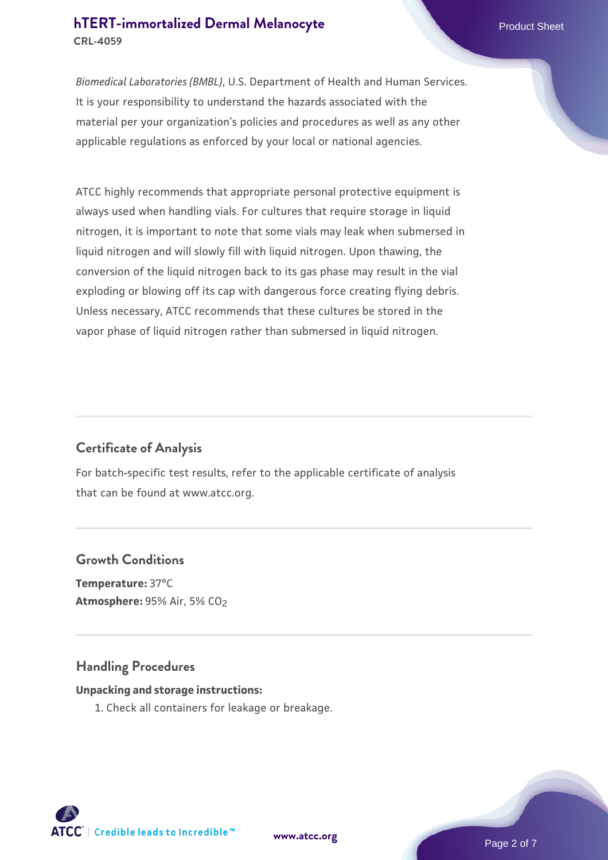# **[hTERT-immortalized Dermal Melanocyte](https://www.atcc.org/products/crl-4059)** Product Sheet **CRL-4059**

*Biomedical Laboratories (BMBL)*, U.S. Department of Health and Human Services. It is your responsibility to understand the hazards associated with the material per your organization's policies and procedures as well as any other applicable regulations as enforced by your local or national agencies.

ATCC highly recommends that appropriate personal protective equipment is always used when handling vials. For cultures that require storage in liquid nitrogen, it is important to note that some vials may leak when submersed in liquid nitrogen and will slowly fill with liquid nitrogen. Upon thawing, the conversion of the liquid nitrogen back to its gas phase may result in the vial exploding or blowing off its cap with dangerous force creating flying debris. Unless necessary, ATCC recommends that these cultures be stored in the vapor phase of liquid nitrogen rather than submersed in liquid nitrogen.

# **Certificate of Analysis**

For batch-specific test results, refer to the applicable certificate of analysis that can be found at www.atcc.org.

# **Growth Conditions**

**Temperature:** 37°C **Atmosphere:** 95% Air, 5% CO2

# **Handling Procedures**

#### **Unpacking and storage instructions:**

1. Check all containers for leakage or breakage.

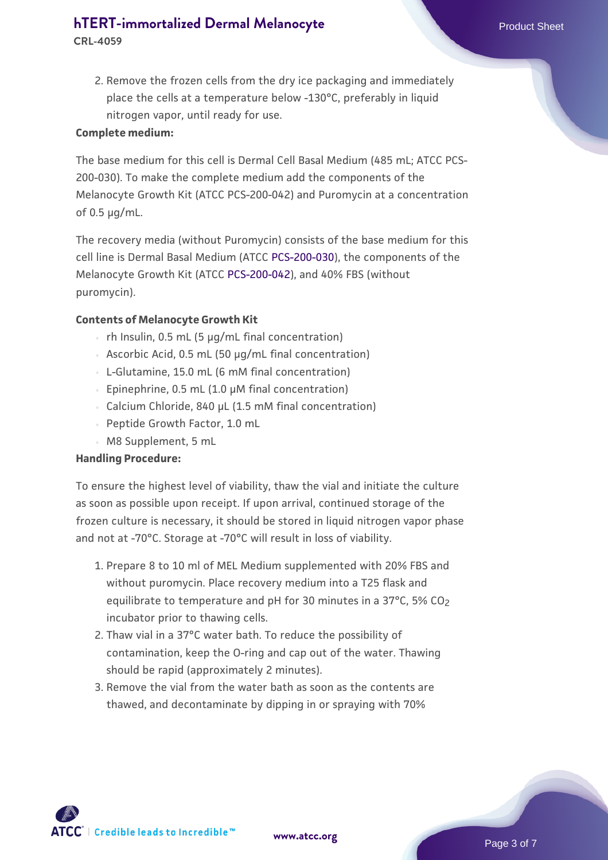# **[hTERT-immortalized Dermal Melanocyte](https://www.atcc.org/products/crl-4059)** Product Sheet

**CRL-4059**

2. Remove the frozen cells from the dry ice packaging and immediately place the cells at a temperature below -130°C, preferably in liquid nitrogen vapor, until ready for use.

#### **Complete medium:**

The base medium for this cell is Dermal Cell Basal Medium (485 mL; ATCC PCS-200-030). To make the complete medium add the components of the Melanocyte Growth Kit (ATCC PCS-200-042) and Puromycin at a concentration of 0.5 µg/mL.

The recovery media (without Puromycin) consists of the base medium for this cell line is Dermal Basal Medium (ATCC [PCS-200-030](https://www.atcc.org/products/all/PCS-201-030.aspx)), the components of the Melanocyte Growth Kit (ATCC [PCS-200-042](https://www.atcc.org/products/all/PCS-200-042.aspx)), and 40% FBS (without puromycin).

#### **Contents of Melanocyte Growth Kit**

- $\cdot$  rh Insulin, 0.5 mL (5 µg/mL final concentration)
- Ascorbic Acid, 0.5 mL (50 µg/mL final concentration)
- L-Glutamine, 15.0 mL (6 mM final concentration)
- Epinephrine, 0.5 mL (1.0 µM final concentration)
- Calcium Chloride, 840 µL (1.5 mM final concentration)
- Peptide Growth Factor, 1.0 mL
- M8 Supplement, 5 mL

#### **Handling Procedure:**

To ensure the highest level of viability, thaw the vial and initiate the culture as soon as possible upon receipt. If upon arrival, continued storage of the frozen culture is necessary, it should be stored in liquid nitrogen vapor phase and not at -70°C. Storage at -70°C will result in loss of viability.

- 1. Prepare 8 to 10 ml of MEL Medium supplemented with 20% FBS and without puromycin. Place recovery medium into a T25 flask and equilibrate to temperature and pH for 30 minutes in a 37°C, 5% CO<sub>2</sub> incubator prior to thawing cells.
- 2. Thaw vial in a 37°C water bath. To reduce the possibility of contamination, keep the O-ring and cap out of the water. Thawing should be rapid (approximately 2 minutes).
- 3. Remove the vial from the water bath as soon as the contents are thawed, and decontaminate by dipping in or spraying with 70%

 $\mathsf{ATCC}^*$  | Credible leads to Incredible  $\mathbbm{M}$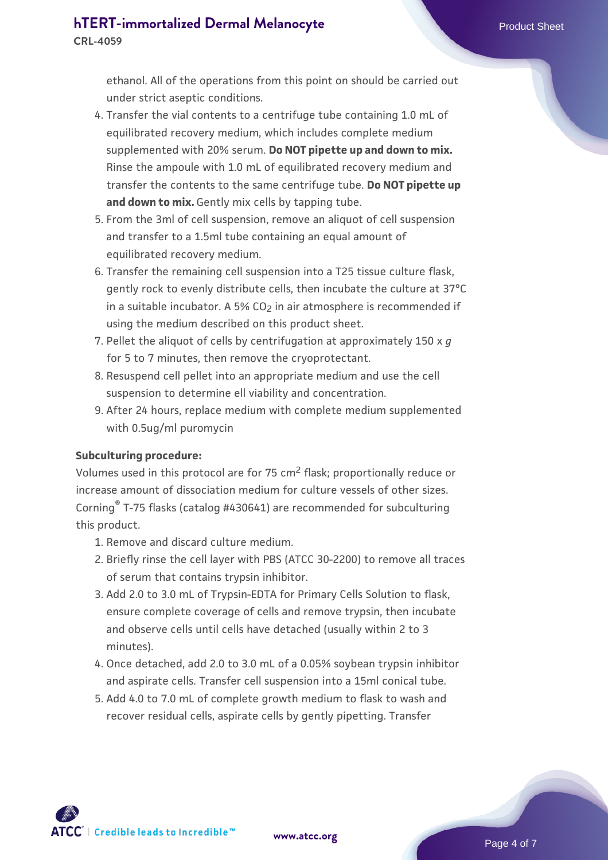ethanol. All of the operations from this point on should be carried out under strict aseptic conditions.

- 4. Transfer the vial contents to a centrifuge tube containing 1.0 mL of equilibrated recovery medium, which includes complete medium supplemented with 20% serum. **Do NOT pipette up and down to mix.** Rinse the ampoule with 1.0 mL of equilibrated recovery medium and transfer the contents to the same centrifuge tube. **Do NOT pipette up** and down to mix. Gently mix cells by tapping tube.
- From the 3ml of cell suspension, remove an aliquot of cell suspension 5. and transfer to a 1.5ml tube containing an equal amount of equilibrated recovery medium.
- 6. Transfer the remaining cell suspension into a T25 tissue culture flask, gently rock to evenly distribute cells, then incubate the culture at 37°C in a suitable incubator. A 5% CO<sub>2</sub> in air atmosphere is recommended if using the medium described on this product sheet.
- 7. Pellet the aliquot of cells by centrifugation at approximately 150 x *g* for 5 to 7 minutes, then remove the cryoprotectant.
- Resuspend cell pellet into an appropriate medium and use the cell 8. suspension to determine ell viability and concentration.
- 9. After 24 hours, replace medium with complete medium supplemented with 0.5ug/ml puromycin

#### **Subculturing procedure:**

Volumes used in this protocol are for 75 cm2 flask; proportionally reduce or increase amount of dissociation medium for culture vessels of other sizes. Corning® T-75 flasks (catalog #430641) are recommended for subculturing this product.

- 1. Remove and discard culture medium.
- 2. Briefly rinse the cell layer with PBS (ATCC 30-2200) to remove all traces of serum that contains trypsin inhibitor.
- 3. Add 2.0 to 3.0 mL of Trypsin-EDTA for Primary Cells Solution to flask, ensure complete coverage of cells and remove trypsin, then incubate and observe cells until cells have detached (usually within 2 to 3 minutes).
- 4. Once detached, add 2.0 to 3.0 mL of a 0.05% soybean trypsin inhibitor and aspirate cells. Transfer cell suspension into a 15ml conical tube.
- 5. Add 4.0 to 7.0 mL of complete growth medium to flask to wash and recover residual cells, aspirate cells by gently pipetting. Transfer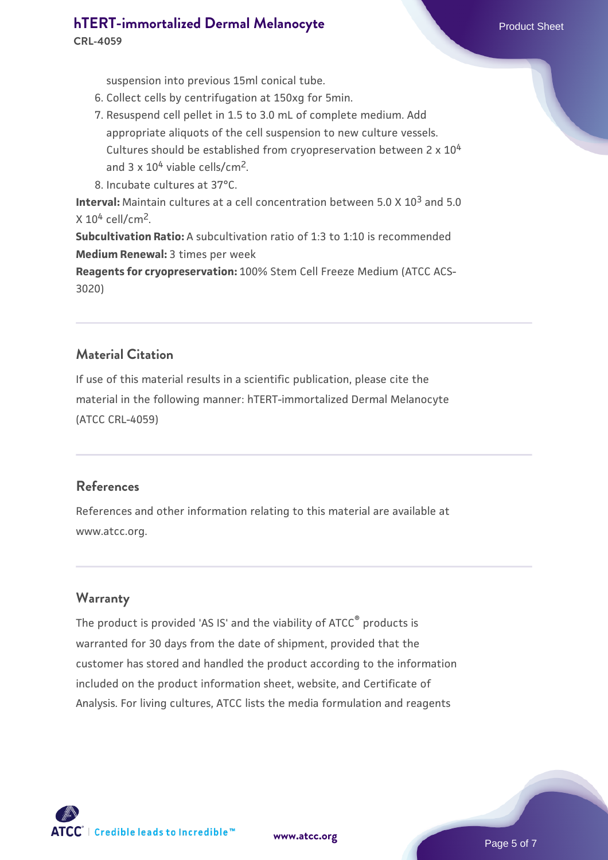# **[hTERT-immortalized Dermal Melanocyte](https://www.atcc.org/products/crl-4059)** Product Sheet

**CRL-4059**

suspension into previous 15ml conical tube.

- 6. Collect cells by centrifugation at 150xg for 5min.
- 7. Resuspend cell pellet in 1.5 to 3.0 mL of complete medium. Add appropriate aliquots of the cell suspension to new culture vessels. Cultures should be established from cryopreservation between 2 x 10<sup>4</sup> and  $3 \times 10^4$  viable cells/cm<sup>2</sup>.
- 8. Incubate cultures at 37°C.

**Interval:** Maintain cultures at a cell concentration between 5.0 X 10<sup>3</sup> and 5.0  $X 10<sup>4</sup>$  cell/cm<sup>2</sup>.

**Subcultivation Ratio:** A subcultivation ratio of 1:3 to 1:10 is recommended **Medium Renewal:** 3 times per week

**Reagents for cryopreservation:** 100% Stem Cell Freeze Medium (ATCC ACS-3020)

# **Material Citation**

If use of this material results in a scientific publication, please cite the material in the following manner: hTERT-immortalized Dermal Melanocyte (ATCC CRL-4059)

# **References**

References and other information relating to this material are available at www.atcc.org.

# **Warranty**

The product is provided 'AS IS' and the viability of ATCC® products is warranted for 30 days from the date of shipment, provided that the customer has stored and handled the product according to the information included on the product information sheet, website, and Certificate of Analysis. For living cultures, ATCC lists the media formulation and reagents



**[www.atcc.org](http://www.atcc.org)**

Page 5 of 7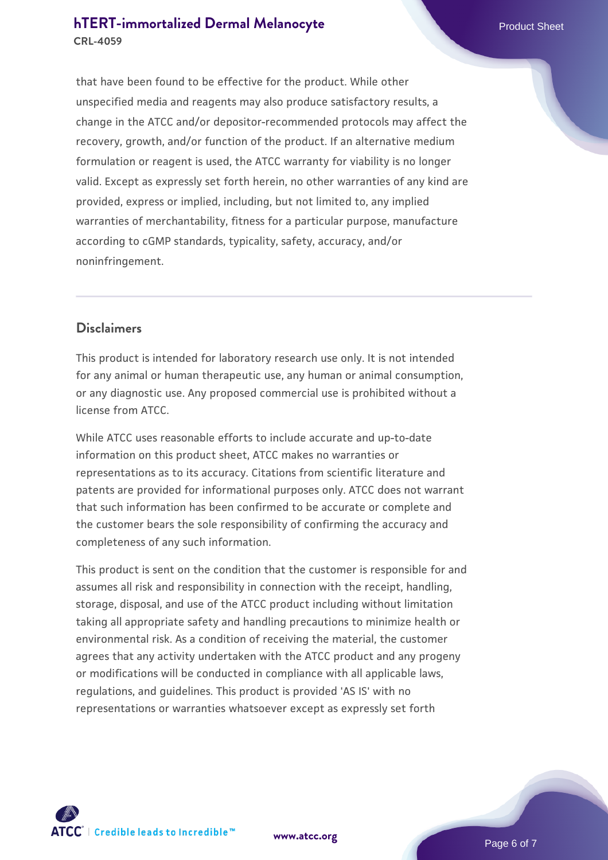# **[hTERT-immortalized Dermal Melanocyte](https://www.atcc.org/products/crl-4059)** Product Sheet **CRL-4059**

that have been found to be effective for the product. While other unspecified media and reagents may also produce satisfactory results, a change in the ATCC and/or depositor-recommended protocols may affect the recovery, growth, and/or function of the product. If an alternative medium formulation or reagent is used, the ATCC warranty for viability is no longer valid. Except as expressly set forth herein, no other warranties of any kind are provided, express or implied, including, but not limited to, any implied warranties of merchantability, fitness for a particular purpose, manufacture according to cGMP standards, typicality, safety, accuracy, and/or noninfringement.

# **Disclaimers**

This product is intended for laboratory research use only. It is not intended for any animal or human therapeutic use, any human or animal consumption, or any diagnostic use. Any proposed commercial use is prohibited without a license from ATCC.

While ATCC uses reasonable efforts to include accurate and up-to-date information on this product sheet, ATCC makes no warranties or representations as to its accuracy. Citations from scientific literature and patents are provided for informational purposes only. ATCC does not warrant that such information has been confirmed to be accurate or complete and the customer bears the sole responsibility of confirming the accuracy and completeness of any such information.

This product is sent on the condition that the customer is responsible for and assumes all risk and responsibility in connection with the receipt, handling, storage, disposal, and use of the ATCC product including without limitation taking all appropriate safety and handling precautions to minimize health or environmental risk. As a condition of receiving the material, the customer agrees that any activity undertaken with the ATCC product and any progeny or modifications will be conducted in compliance with all applicable laws, regulations, and guidelines. This product is provided 'AS IS' with no representations or warranties whatsoever except as expressly set forth



**[www.atcc.org](http://www.atcc.org)**

Page 6 of 7